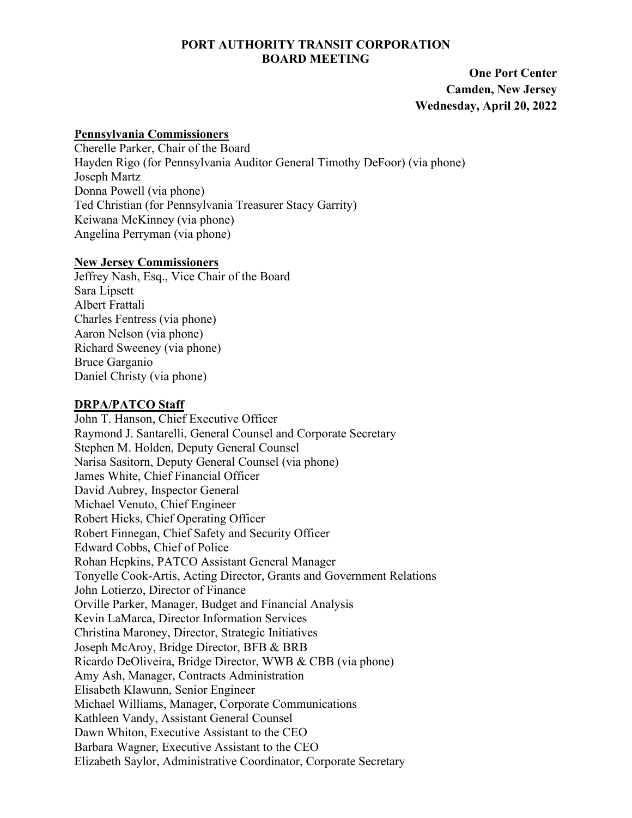### **PORT AUTHORITY TRANSIT CORPORATION BOARD MEETING**

 **One Port Center Camden, New Jersey Wednesday, April 20, 2022** 

#### **Pennsylvania Commissioners**

Cherelle Parker, Chair of the Board Hayden Rigo (for Pennsylvania Auditor General Timothy DeFoor) (via phone) Joseph Martz Donna Powell (via phone) Ted Christian (for Pennsylvania Treasurer Stacy Garrity) Keiwana McKinney (via phone) Angelina Perryman (via phone)

#### **New Jersey Commissioners**

Jeffrey Nash, Esq., Vice Chair of the Board Sara Lipsett Albert Frattali Charles Fentress (via phone) Aaron Nelson (via phone) Richard Sweeney (via phone) Bruce Garganio Daniel Christy (via phone)

## **DRPA/PATCO Staff**

John T. Hanson, Chief Executive Officer Raymond J. Santarelli, General Counsel and Corporate Secretary Stephen M. Holden, Deputy General Counsel Narisa Sasitorn, Deputy General Counsel (via phone) James White, Chief Financial Officer David Aubrey, Inspector General Michael Venuto, Chief Engineer Robert Hicks, Chief Operating Officer Robert Finnegan, Chief Safety and Security Officer Edward Cobbs, Chief of Police Rohan Hepkins, PATCO Assistant General Manager Tonyelle Cook-Artis, Acting Director, Grants and Government Relations John Lotierzo, Director of Finance Orville Parker, Manager, Budget and Financial Analysis Kevin LaMarca, Director Information Services Christina Maroney, Director, Strategic Initiatives Joseph McAroy, Bridge Director, BFB & BRB Ricardo DeOliveira, Bridge Director, WWB & CBB (via phone) Amy Ash, Manager, Contracts Administration Elisabeth Klawunn, Senior Engineer Michael Williams, Manager, Corporate Communications Kathleen Vandy, Assistant General Counsel Dawn Whiton, Executive Assistant to the CEO Barbara Wagner, Executive Assistant to the CEO Elizabeth Saylor, Administrative Coordinator, Corporate Secretary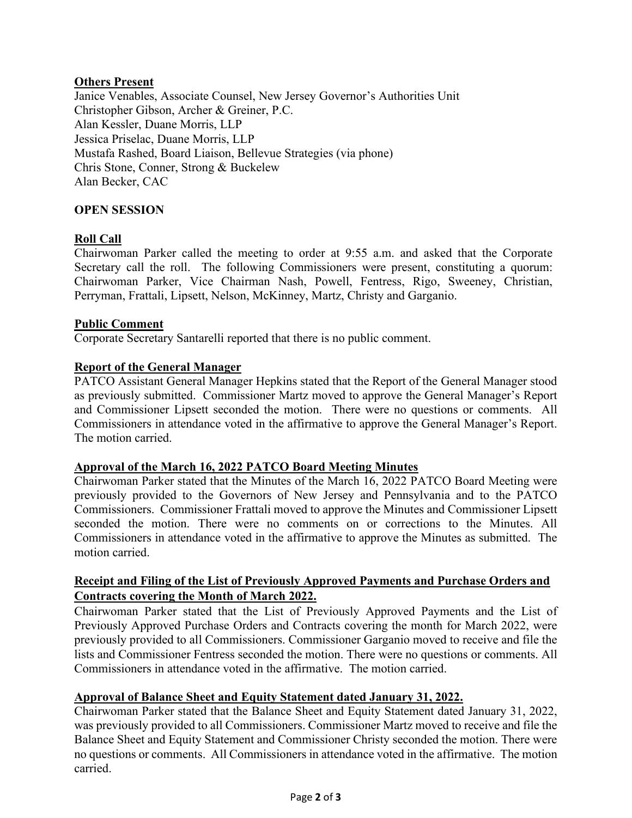# **Others Present**

Janice Venables, Associate Counsel, New Jersey Governor's Authorities Unit Christopher Gibson, Archer & Greiner, P.C. Alan Kessler, Duane Morris, LLP Jessica Priselac, Duane Morris, LLP Mustafa Rashed, Board Liaison, Bellevue Strategies (via phone) Chris Stone, Conner, Strong & Buckelew Alan Becker, CAC

### **OPEN SESSION**

## **Roll Call**

Chairwoman Parker called the meeting to order at 9:55 a.m. and asked that the Corporate Secretary call the roll. The following Commissioners were present, constituting a quorum: Chairwoman Parker, Vice Chairman Nash, Powell, Fentress, Rigo, Sweeney, Christian, Perryman, Frattali, Lipsett, Nelson, McKinney, Martz, Christy and Garganio.

#### **Public Comment**

Corporate Secretary Santarelli reported that there is no public comment.

#### **Report of the General Manager**

PATCO Assistant General Manager Hepkins stated that the Report of the General Manager stood as previously submitted. Commissioner Martz moved to approve the General Manager's Report and Commissioner Lipsett seconded the motion. There were no questions or comments. All Commissioners in attendance voted in the affirmative to approve the General Manager's Report. The motion carried.

#### **Approval of the March 16, 2022 PATCO Board Meeting Minutes**

Chairwoman Parker stated that the Minutes of the March 16, 2022 PATCO Board Meeting were previously provided to the Governors of New Jersey and Pennsylvania and to the PATCO Commissioners. Commissioner Frattali moved to approve the Minutes and Commissioner Lipsett seconded the motion. There were no comments on or corrections to the Minutes. All Commissioners in attendance voted in the affirmative to approve the Minutes as submitted. The motion carried.

## **Receipt and Filing of the List of Previously Approved Payments and Purchase Orders and Contracts covering the Month of March 2022.**

Chairwoman Parker stated that the List of Previously Approved Payments and the List of Previously Approved Purchase Orders and Contracts covering the month for March 2022, were previously provided to all Commissioners. Commissioner Garganio moved to receive and file the lists and Commissioner Fentress seconded the motion. There were no questions or comments. All Commissioners in attendance voted in the affirmative. The motion carried.

#### **Approval of Balance Sheet and Equity Statement dated January 31, 2022.**

Chairwoman Parker stated that the Balance Sheet and Equity Statement dated January 31, 2022, was previously provided to all Commissioners. Commissioner Martz moved to receive and file the Balance Sheet and Equity Statement and Commissioner Christy seconded the motion. There were no questions or comments. All Commissioners in attendance voted in the affirmative. The motion carried.